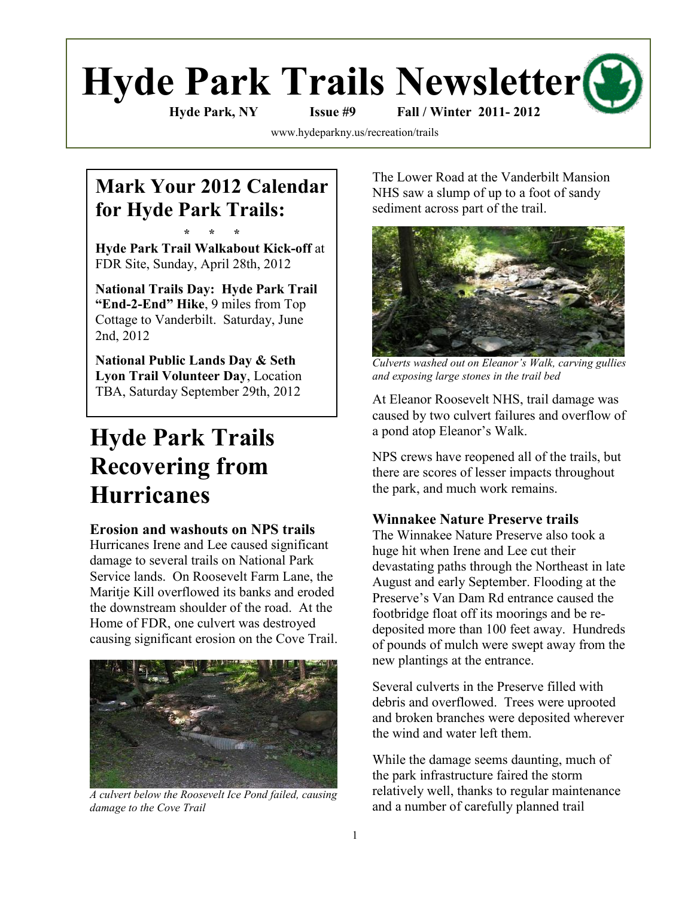# **Hyde Park Trails Newsletter**

**Hyde Park, NY Issue #9 Fall / Winter 2011- 2012**

[www.hydeparkny.us/recreation/trails](http://www.hydeparkny.us/recreation/trails)

# **Mark Your 2012 Calendar for Hyde Park Trails:**

**\* \* \* Hyde Park Trail Walkabout Kick-off** at FDR Site, Sunday, April 28th, 2012

**National Trails Day: Hyde Park Trail "End-2-End" Hike**, 9 miles from Top Cottage to Vanderbilt. Saturday, June 2nd, 2012

**National Public Lands Day & Seth Lyon Trail Volunteer Day**, Location TBA, Saturday September 29th, 2012

# **Hyde Park Trails Recovering from Hurricanes**

#### **Erosion and washouts on NPS trails**

Hurricanes Irene and Lee caused significant damage to several trails on National Park Service lands. On Roosevelt Farm Lane, the Maritje Kill overflowed its banks and eroded the downstream shoulder of the road. At the Home of FDR, one culvert was destroyed causing significant erosion on the Cove Trail.



*A culvert below the Roosevelt Ice Pond failed, causing damage to the Cove Trail*

The Lower Road at the Vanderbilt Mansion NHS saw a slump of up to a foot of sandy sediment across part of the trail.



*Culverts washed out on Eleanor's Walk, carving gullies and exposing large stones in the trail bed*

At Eleanor Roosevelt NHS, trail damage was caused by two culvert failures and overflow of a pond atop Eleanor"s Walk.

NPS crews have reopened all of the trails, but there are scores of lesser impacts throughout the park, and much work remains.

#### **Winnakee Nature Preserve trails**

The Winnakee Nature Preserve also took a huge hit when Irene and Lee cut their devastating paths through the Northeast in late August and early September. Flooding at the Preserve"s Van Dam Rd entrance caused the footbridge float off its moorings and be redeposited more than 100 feet away. Hundreds of pounds of mulch were swept away from the new plantings at the entrance.

Several culverts in the Preserve filled with debris and overflowed. Trees were uprooted and broken branches were deposited wherever the wind and water left them.

While the damage seems daunting, much of the park infrastructure faired the storm relatively well, thanks to regular maintenance and a number of carefully planned trail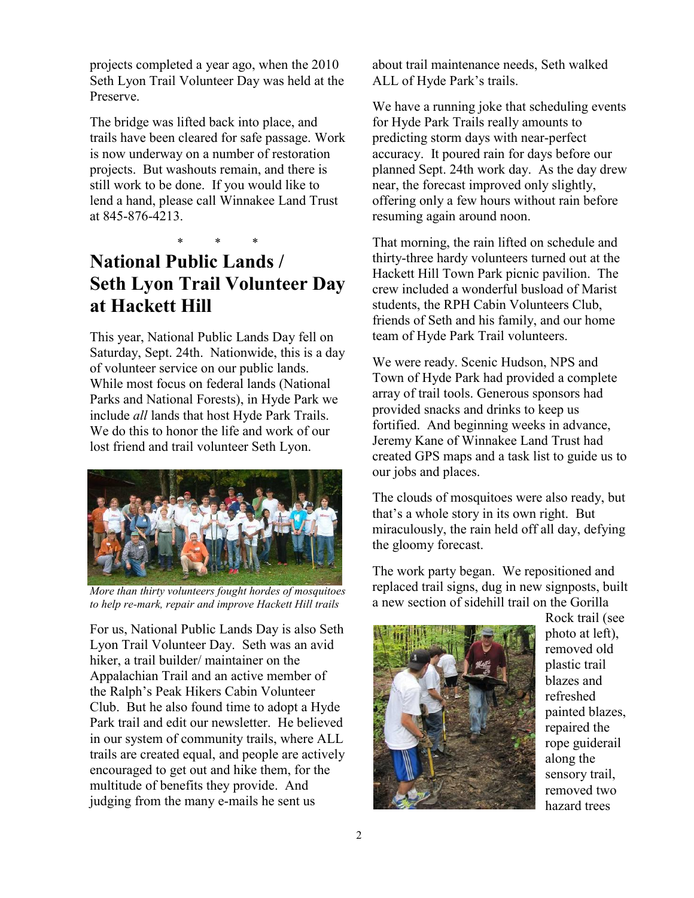projects completed a year ago, when the 2010 Seth Lyon Trail Volunteer Day was held at the Preserve.

The bridge was lifted back into place, and trails have been cleared for safe passage. Work is now underway on a number of restoration projects. But washouts remain, and there is still work to be done. If you would like to lend a hand, please call Winnakee Land Trust at 845-876-4213.

#### \* \* \* **National Public Lands / Seth Lyon Trail Volunteer Day at Hackett Hill**

This year, National Public Lands Day fell on Saturday, Sept. 24th. Nationwide, this is a day of volunteer service on our public lands. While most focus on federal lands (National Parks and National Forests), in Hyde Park we include *all* lands that host Hyde Park Trails. We do this to honor the life and work of our lost friend and trail volunteer Seth Lyon.



*More than thirty volunteers fought hordes of mosquitoes to help re-mark, repair and improve Hackett Hill trails* 

For us, National Public Lands Day is also Seth Lyon Trail Volunteer Day. Seth was an avid hiker, a trail builder/ maintainer on the Appalachian Trail and an active member of the Ralph"s Peak Hikers Cabin Volunteer Club. But he also found time to adopt a Hyde Park trail and edit our newsletter. He believed in our system of community trails, where ALL trails are created equal, and people are actively encouraged to get out and hike them, for the multitude of benefits they provide. And judging from the many e-mails he sent us

about trail maintenance needs, Seth walked ALL of Hyde Park"s trails.

We have a running joke that scheduling events for Hyde Park Trails really amounts to predicting storm days with near-perfect accuracy. It poured rain for days before our planned Sept. 24th work day. As the day drew near, the forecast improved only slightly, offering only a few hours without rain before resuming again around noon.

That morning, the rain lifted on schedule and thirty-three hardy volunteers turned out at the Hackett Hill Town Park picnic pavilion. The crew included a wonderful busload of Marist students, the RPH Cabin Volunteers Club, friends of Seth and his family, and our home team of Hyde Park Trail volunteers.

We were ready. Scenic Hudson, NPS and Town of Hyde Park had provided a complete array of trail tools. Generous sponsors had provided snacks and drinks to keep us fortified. And beginning weeks in advance, Jeremy Kane of Winnakee Land Trust had created GPS maps and a task list to guide us to our jobs and places.

The clouds of mosquitoes were also ready, but that"s a whole story in its own right. But miraculously, the rain held off all day, defying the gloomy forecast.

The work party began. We repositioned and replaced trail signs, dug in new signposts, built a new section of sidehill trail on the Gorilla



Rock trail (see photo at left), removed old plastic trail blazes and refreshed painted blazes, repaired the rope guiderail along the sensory trail, removed two hazard trees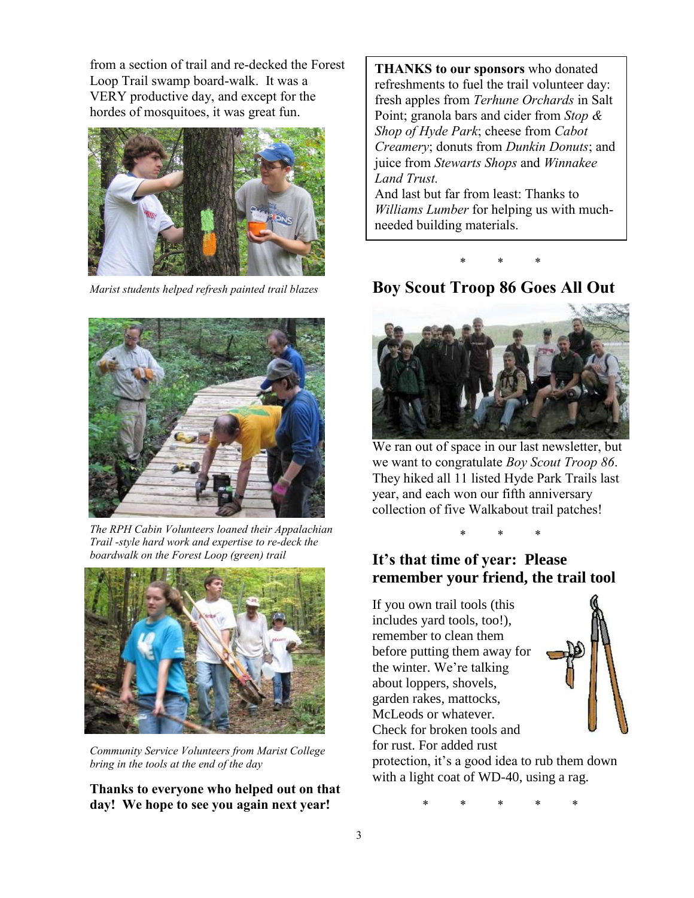from a section of trail and re-decked the Forest Loop Trail swamp board-walk. It was a VERY productive day, and except for the hordes of mosquitoes, it was great fun.



*Marist students helped refresh painted trail blazes*



*The RPH Cabin Volunteers loaned their Appalachian Trail -style hard work and expertise to re-deck the boardwalk on the Forest Loop (green) trail*



*Community Service Volunteers from Marist College bring in the tools at the end of the day*

**Thanks to everyone who helped out on that day! We hope to see you again next year!**

**THANKS to our sponsors** who donated refreshments to fuel the trail volunteer day: fresh apples from *Terhune Orchards* in Salt Point; granola bars and cider from *Stop & Shop of Hyde Park*; cheese from *Cabot Creamery*; donuts from *Dunkin Donuts*; and juice from *Stewarts Shops* and *Winnakee Land Trust.*  And last but far from least: Thanks to

*Williams Lumber* for helping us with muchneeded building materials.

\* \* \*

#### **Boy Scout Troop 86 Goes All Out**



We ran out of space in our last newsletter, but we want to congratulate *Boy Scout Troop 86*. They hiked all 11 listed Hyde Park Trails last year, and each won our fifth anniversary collection of five Walkabout trail patches!

\* \* \*

#### **It's that time of year: Please remember your friend, the trail tool**

If you own trail tools (this includes yard tools, too!), remember to clean them before putting them away for the winter. We're talking about loppers, shovels, garden rakes, mattocks, McLeods or whatever. Check for broken tools and for rust. For added rust



protection, it's a good idea to rub them down with a light coat of WD-40, using a rag.

\* \* \* \* \*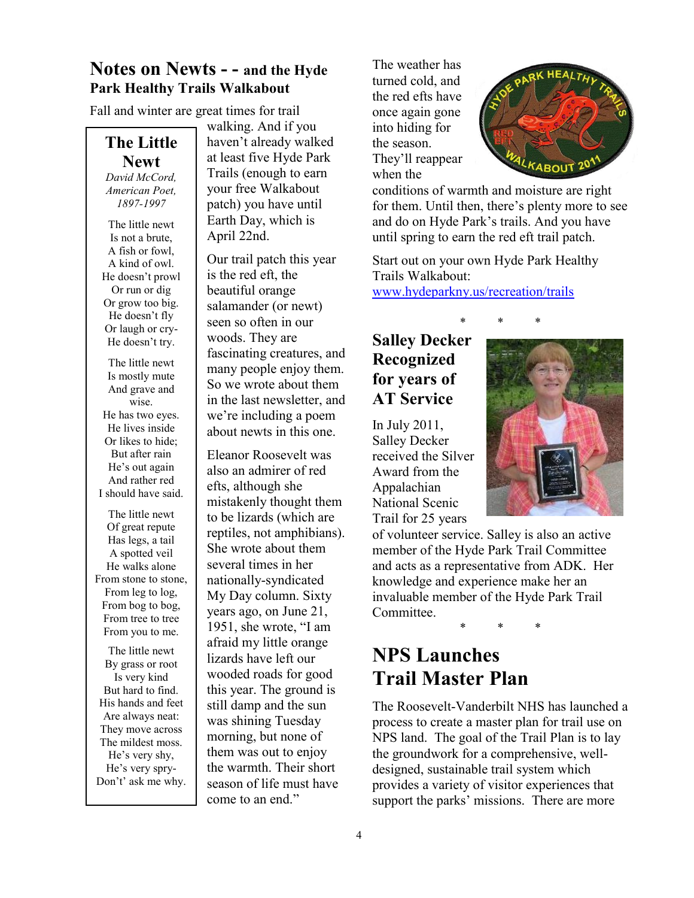#### **Notes on Newts - - and the Hyde Park Healthy Trails Walkabout**

Fall and winter are great times for trail

#### **The Little Newt**

*David McCord, American Poet, 1897-1997*

The little newt Is not a brute, A fish or fowl, A kind of owl. He doesn"t prowl Or run or dig Or grow too big. He doesn"t fly Or laugh or cry-He doesn't try.

The little newt Is mostly mute And grave and wise. He has two eyes. He lives inside Or likes to hide; But after rain He's out again And rather red I should have said.

The little newt Of great repute Has legs, a tail A spotted veil He walks alone From stone to stone, From leg to log, From bog to bog, From tree to tree From you to me.

The little newt By grass or root Is very kind But hard to find. His hands and feet Are always neat: They move across The mildest moss. He's very shy, He's very spry-Don't' ask me why.

walking. And if you haven"t already walked at least five Hyde Park Trails (enough to earn your free Walkabout patch) you have until Earth Day, which is April 22nd.

Our trail patch this year is the red eft, the beautiful orange salamander (or newt) seen so often in our woods. They are fascinating creatures, and many people enjoy them. So we wrote about them in the last newsletter, and we"re including a poem about newts in this one.

Eleanor Roosevelt was also an admirer of red efts, although she mistakenly thought them to be lizards (which are reptiles, not amphibians). She wrote about them several times in her nationally-syndicated My Day column. Sixty years ago, on June 21, 1951, she wrote, "I am afraid my little orange lizards have left our wooded roads for good this year. The ground is still damp and the sun was shining Tuesday morning, but none of them was out to enjoy the warmth. Their short season of life must have come to an end."

The weather has turned cold, and the red efts have once again gone into hiding for the season. They'll reappear when the



conditions of warmth and moisture are right for them. Until then, there"s plenty more to see and do on Hyde Park"s trails. And you have until spring to earn the red eft trail patch.

Start out on your own Hyde Park Healthy Trails Walkabout: [www.hydeparkny.us/recreation/trails](http://www.hydeparkny.us/recreation/trails)

#### **Salley Decker Recognized for years of AT Service**

In July 2011, Salley Decker received the Silver Award from the Appalachian National Scenic Trail for 25 years



of volunteer service. Salley is also an active member of the Hyde Park Trail Committee and acts as a representative from ADK. Her knowledge and experience make her an invaluable member of the Hyde Park Trail Committee.

\* \* \*

### **NPS Launches Trail Master Plan**

The Roosevelt-Vanderbilt NHS has launched a process to create a master plan for trail use on NPS land. The goal of the Trail Plan is to lay the groundwork for a comprehensive, welldesigned, sustainable trail system which provides a variety of visitor experiences that support the parks' missions. There are more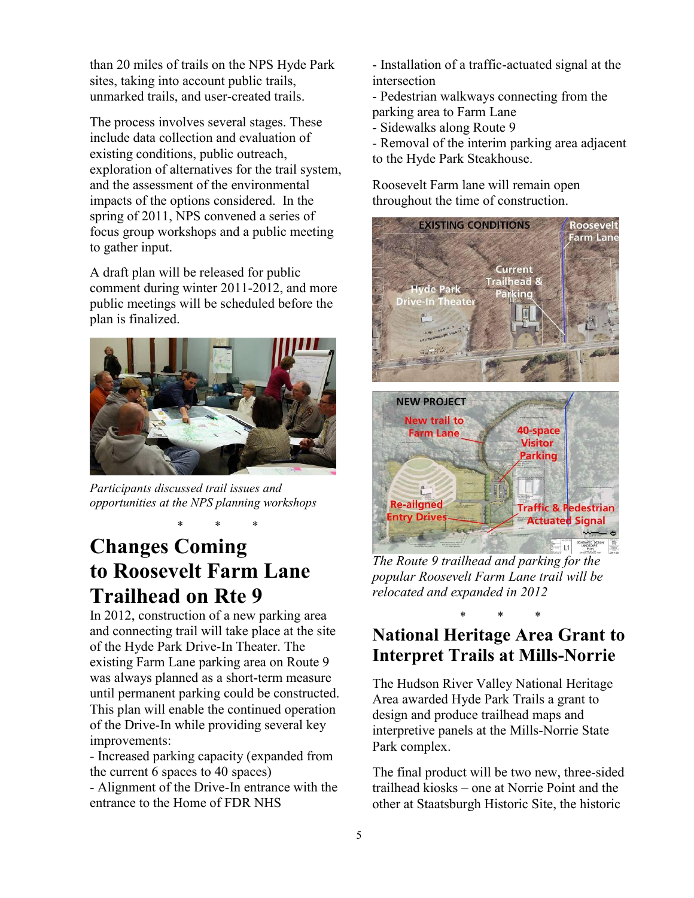than 20 miles of trails on the NPS Hyde Park sites, taking into account public trails, unmarked trails, and user-created trails.

The process involves several stages. These include data collection and evaluation of existing conditions, public outreach, exploration of alternatives for the trail system, and the assessment of the environmental impacts of the options considered. In the spring of 2011, NPS convened a series of focus group workshops and a public meeting to gather input.

A draft plan will be released for public comment during winter 2011-2012, and more public meetings will be scheduled before the plan is finalized.



*Participants discussed trail issues and opportunities at the NPS planning workshops*

\* \* \*

# **Changes Coming to Roosevelt Farm Lane Trailhead on Rte 9**

In 2012, construction of a new parking area and connecting trail will take place at the site of the Hyde Park Drive-In Theater. The existing Farm Lane parking area on Route 9 was always planned as a short-term measure until permanent parking could be constructed. This plan will enable the continued operation of the Drive-In while providing several key improvements:

- Increased parking capacity (expanded from the current 6 spaces to 40 spaces)

- Alignment of the Drive-In entrance with the entrance to the Home of FDR NHS

- Installation of a traffic-actuated signal at the intersection

- Pedestrian walkways connecting from the parking area to Farm Lane

- Sidewalks along Route 9

- Removal of the interim parking area adjacent to the Hyde Park Steakhouse.

Roosevelt Farm lane will remain open throughout the time of construction.



*The Route 9 trailhead and parking for the popular Roosevelt Farm Lane trail will be relocated and expanded in 2012*

#### \* \* \* **National Heritage Area Grant to Interpret Trails at Mills-Norrie**

The Hudson River Valley National Heritage Area awarded Hyde Park Trails a grant to design and produce trailhead maps and interpretive panels at the Mills-Norrie State Park complex.

The final product will be two new, three-sided trailhead kiosks – one at Norrie Point and the other at Staatsburgh Historic Site, the historic